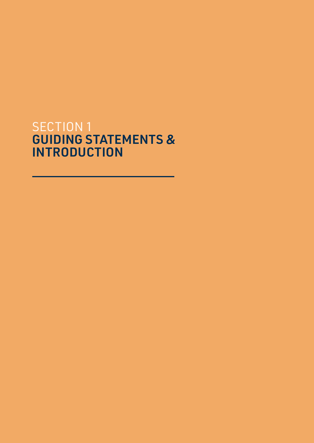# SECTION 1 GUIDING STATEMENTS & INTRODUCTION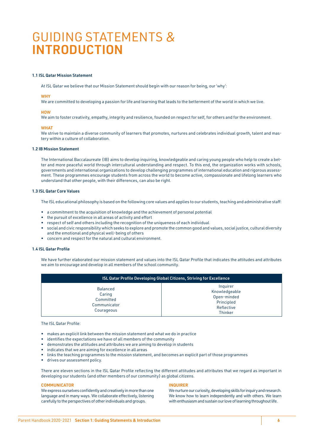# GUIDING STATEMENTS & INTRODUCTION

# 1.1 ISL Qatar Mission Statement

At ISL Qatar we believe that our Mission Statement should begin with our reason for being, our 'why':

# **WHY**

We are committed to developing a passion for life and learning that leads to the betterment of the world in which we live.

## **HOW**

We aim to foster creativity, empathy, integrity and resilience, founded on respect for self, for others and for the environment.

## **WHAT**

We strive to maintain a diverse community of learners that promotes, nurtures and celebrates individual growth, talent and mastery within a culture of collaboration.

# 1.2 IB Mission Statement

The International Baccalaureate (IB) aims to develop inquiring, knowledgeable and caring young people who help to create a better and more peaceful world through intercultural understanding and respect. To this end, the organization works with schools, governments and international organizations to develop challenging programmes of international education and rigorous assessment. These programmes encourage students from across the world to become active, compassionate and lifelong learners who understand that other people, with their differences, can also be right.

# 1.3 ISL Qatar Core Values

The ISL educational philosophy is based on the following core values and applies to our students, teaching and administrative staff:

- a commitment to the acquisition of knowledge and the achievement of personal potential
- the pursuit of excellence in all areas of activity and effort
- respect of self and others including the recognition of the uniqueness of each individual
- social and civic responsibility which seeks to explore and promote the common good and values, social justice, cultural diversity and the emotional and physical well-being of others
- concern and respect for the natural and cultural environment.

# 1.4 ISL Qatar Profile

We have further elaborated our mission statement and values into the ISL Qatar Profile that indicates the attitudes and attributes we aim to encourage and develop in all members of the school community.

| <b>ISL Qatar Profile Developing Global Citizens, Striving for Excellence</b> |                                                                                        |
|------------------------------------------------------------------------------|----------------------------------------------------------------------------------------|
| <b>Balanced</b><br>Caring<br>Committed<br>Communicator<br>Courageous         | Inquirer<br>Knowledgeable<br>Open-minded<br>Principled<br>Reflective<br><b>Thinker</b> |

The ISL Qatar Profile:

- makes an explicit link between the mission statement and what we do in practice
- identifies the expectations we have of all members of the community
- demonstrates the attitudes and attributes we are aiming to develop in students
- indicates that we are aiming for excellence in all areas
- links the teaching programmes to the mission statement, and becomes an explicit part of those programmes
- drives our assessment policy.

There are eleven sections in the ISL Qatar Profile reflecting the different attitudes and attributes that we regard as important in developing our students (and other members of our community) as global citizens.

## **COMMUNICATOR**

We express ourselves confidently and creatively in more than one language and in many ways. We collaborate effectively, listening carefully to the perspectives of other individuals and groups.

#### INQUIRER

We nurture our curiosity, developing skills for inquiry and research. We know how to learn independently and with others. We learn with enthusiasm and sustain our love of learning throughout life.